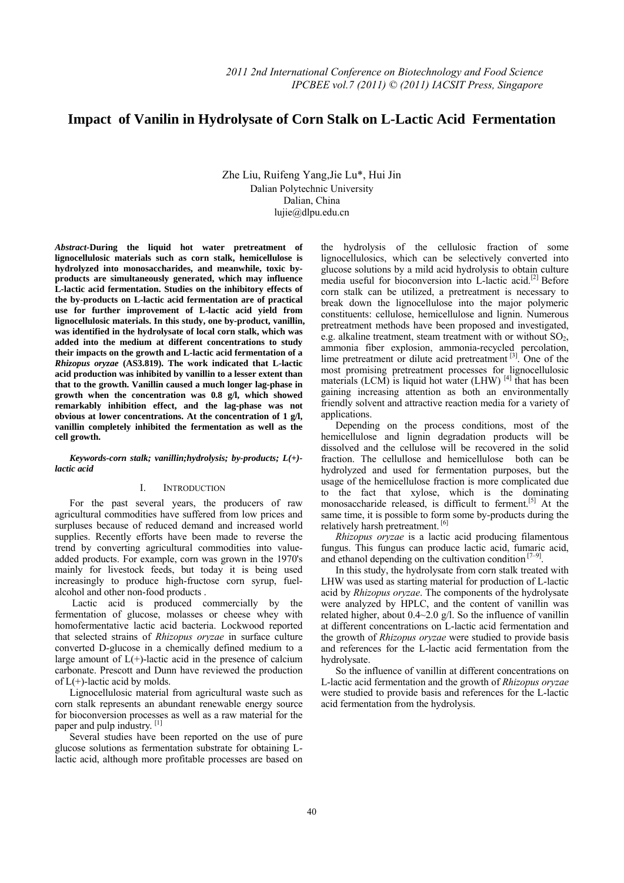# Impact of Vanilin in Hydrolysate of Corn Stalk on L-Lactic Acid Fermentation

Zhe Liu, Ruifeng Yang,Jie Lu\*, Hui Jin Dalian Polytechnic University Dalian, China lujie@dlpu.edu.cn

*Abstract***-During the liquid hot water pretreatment of lignocellulosic materials such as corn stalk, hemicellulose is hydrolyzed into monosaccharides, and meanwhile, toxic byproducts are simultaneously generated, which may influence L-lactic acid fermentation. Studies on the inhibitory effects of the by-products on L-lactic acid fermentation are of practical use for further improvement of L-lactic acid yield from lignocellulosic materials. In this study, one by-product, vanillin, was identified in the hydrolysate of local corn stalk, which was added into the medium at different concentrations to study their impacts on the growth and L-lactic acid fermentation of a**  *Rhizopus oryzae* **(AS3.819). The work indicated that L-lactic acid production was inhibited by vanillin to a lesser extent than that to the growth. Vanillin caused a much longer lag-phase in growth when the concentration was 0.8 g/l, which showed remarkably inhibition effect, and the lag-phase was not obvious at lower concentrations. At the concentration of 1 g/l, vanillin completely inhibited the fermentation as well as the cell growth.** 

## *Keywords-corn stalk; vanillin;hydrolysis; by-products; L(+) lactic acid*

# I. INTRODUCTION

For the past several years, the producers of raw agricultural commodities have suffered from low prices and surpluses because of reduced demand and increased world supplies. Recently efforts have been made to reverse the trend by converting agricultural commodities into valueadded products. For example, corn was grown in the 1970's mainly for livestock feeds, but today it is being used increasingly to produce high-fructose corn syrup, fuelalcohol and other non-food products .

 Lactic acid is produced commercially by the fermentation of glucose, molasses or cheese whey with homofermentative lactic acid bacteria. Lockwood reported that selected strains of *Rhizopus oryzae* in surface culture converted D-glucose in a chemically defined medium to a large amount of  $L(+)$ -lactic acid in the presence of calcium carbonate. Prescott and Dunn have reviewed the production of  $L(+)$ -lactic acid by molds.

Lignocellulosic material from agricultural waste such as corn stalk represents an abundant renewable energy source for bioconversion processes as well as a raw material for the paper and pulp industry.<sup>[1]</sup>

Several studies have been reported on the use of pure glucose solutions as fermentation substrate for obtaining Llactic acid, although more profitable processes are based on the hydrolysis of the cellulosic fraction of some lignocellulosics, which can be selectively converted into glucose solutions by a mild acid hydrolysis to obtain culture media useful for bioconversion into L-lactic acid.[2] Before corn stalk can be utilized, a pretreatment is necessary to break down the lignocellulose into the major polymeric constituents: cellulose, hemicellulose and lignin. Numerous pretreatment methods have been proposed and investigated, e.g. alkaline treatment, steam treatment with or without  $SO<sub>2</sub>$ , ammonia fiber explosion, ammonia-recycled percolation, lime pretreatment or dilute acid pretreatment [3]. One of the most promising pretreatment processes for lignocellulosic materials  $(LCM)$  is liquid hot water  $(LHW)^{[4]}$  that has been gaining increasing attention as both an environmentally friendly solvent and attractive reaction media for a variety of applications.

Depending on the process conditions, most of the hemicellulose and lignin degradation products will be dissolved and the cellulose will be recovered in the solid fraction. The cellullose and hemicellulose both can be hydrolyzed and used for fermentation purposes, but the usage of the hemicellulose fraction is more complicated due to the fact that xylose, which is the dominating monosaccharide released, is difficult to ferment.<sup>[5]</sup> At the same time, it is possible to form some by-products during the relatively harsh pretreatment. [6]

*Rhizopus oryzae* is a lactic acid producing filamentous fungus. This fungus can produce lactic acid, fumaric acid, and ethanol depending on the cultivation condition  $[7-9]$ .

In this study, the hydrolysate from corn stalk treated with LHW was used as starting material for production of L-lactic acid by *Rhizopus oryzae*. The components of the hydrolysate were analyzed by HPLC, and the content of vanillin was related higher, about  $0.4 \sim 2.0$  g/l. So the influence of vanillin at different concentrations on L-lactic acid fermentation and the growth of *Rhizopus oryzae* were studied to provide basis and references for the L-lactic acid fermentation from the hydrolysate.

So the influence of vanillin at different concentrations on L-lactic acid fermentation and the growth of *Rhizopus oryzae* were studied to provide basis and references for the L-lactic acid fermentation from the hydrolysis.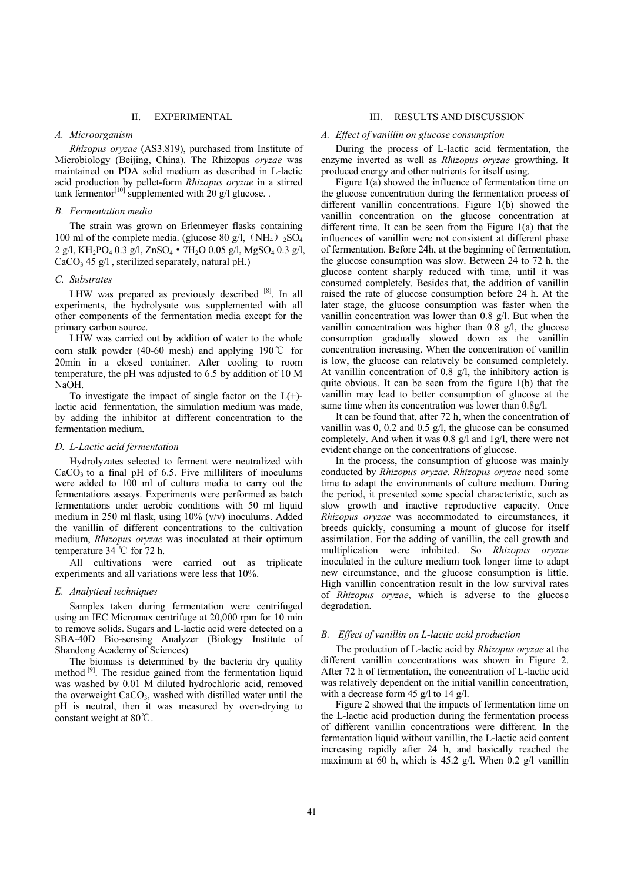#### II. EXPERIMENTAL

## *A. Microorganism*

*Rhizopus oryzae* (AS3.819), purchased from Institute of Microbiology (Beijing, China). The Rhizopus *oryzae* was maintained on PDA solid medium as described in L-lactic acid production by pellet-form *Rhizopus oryzae* in a stirred tank fermentor<sup>[10]</sup> supplemented with 20 g/l glucose.

# *B. Fermentation media*

The strain was grown on Erlenmeyer flasks containing 100 ml of the complete media. (glucose 80 g/l,  $(NH_4)$ )<sub>2</sub>SO<sub>4</sub> 2 g/l, KH<sub>2</sub>PO<sub>4</sub> 0.3 g/l, ZnSO<sub>4</sub> • 7H<sub>2</sub>O 0.05 g/l, MgSO<sub>4</sub> 0.3 g/l,  $CaCO<sub>3</sub> 45 g/l$ , sterilized separately, natural pH.)

## *C. Substrates*

LHW was prepared as previously described [8]. In all experiments, the hydrolysate was supplemented with all other components of the fermentation media except for the primary carbon source.

LHW was carried out by addition of water to the whole corn stalk powder (40-60 mesh) and applying 190℃ for 20min in a closed container. After cooling to room temperature, the pH was adjusted to 6.5 by addition of 10 M NaOH.

To investigate the impact of single factor on the  $L(+)$ lactic acid fermentation, the simulation medium was made, by adding the inhibitor at different concentration to the fermentation medium.

#### *D. L-Lactic acid fermentation*

Hydrolyzates selected to ferment were neutralized with  $CaCO<sub>3</sub>$  to a final pH of 6.5. Five milliliters of inoculums were added to 100 ml of culture media to carry out the fermentations assays. Experiments were performed as batch fermentations under aerobic conditions with 50 ml liquid medium in 250 ml flask, using 10% (v/v) inoculums. Added the vanillin of different concentrations to the cultivation medium, *Rhizopus oryzae* was inoculated at their optimum temperature 34 ℃ for 72 h.

All cultivations were carried out as triplicate experiments and all variations were less that 10%.

## *E. Analytical techniques*

Samples taken during fermentation were centrifuged using an IEC Micromax centrifuge at 20,000 rpm for 10 min to remove solids. Sugars and L-lactic acid were detected on a SBA-40D Bio-sensing Analyzer (Biology Institute of Shandong Academy of Sciences)

The biomass is determined by the bacteria dry quality method <sup>[9]</sup>. The residue gained from the fermentation liquid was washed by 0.01 M diluted hydrochloric acid, removed the overweight  $CaCO<sub>3</sub>$ , washed with distilled water until the pH is neutral, then it was measured by oven-drying to constant weight at 80℃.

#### III. RESULTS AND DISCUSSION

## *A. Effect of vanillin on glucose consumption*

During the process of L-lactic acid fermentation, the enzyme inverted as well as *Rhizopus oryzae* growthing. It produced energy and other nutrients for itself using.

Figure 1(a) showed the influence of fermentation time on the glucose concentration during the fermentation process of different vanillin concentrations. Figure 1(b) showed the vanillin concentration on the glucose concentration at different time. It can be seen from the Figure 1(a) that the influences of vanillin were not consistent at different phase of fermentation. Before 24h, at the beginning of fermentation, the glucose consumption was slow. Between 24 to 72 h, the glucose content sharply reduced with time, until it was consumed completely. Besides that, the addition of vanillin raised the rate of glucose consumption before 24 h. At the later stage, the glucose consumption was faster when the vanillin concentration was lower than 0.8 g/l. But when the vanillin concentration was higher than  $0.\overline{8}$  g/l, the glucose consumption gradually slowed down as the vanillin concentration increasing. When the concentration of vanillin is low, the glucose can relatively be consumed completely. At vanillin concentration of 0.8 g/l, the inhibitory action is quite obvious. It can be seen from the figure 1(b) that the vanillin may lead to better consumption of glucose at the same time when its concentration was lower than 0.8g/l.

It can be found that, after 72 h, when the concentration of vanillin was 0, 0.2 and 0.5 g/l, the glucose can be consumed completely. And when it was 0.8 g/l and 1g/l, there were not evident change on the concentrations of glucose.

In the process, the consumption of glucose was mainly conducted by *Rhizopus oryzae*. *Rhizopus oryzae* need some time to adapt the environments of culture medium. During the period, it presented some special characteristic, such as slow growth and inactive reproductive capacity. Once *Rhizopus oryzae* was accommodated to circumstances, it breeds quickly, consuming a mount of glucose for itself assimilation. For the adding of vanillin, the cell growth and multiplication were inhibited. So *Rhizopus oryzae* inoculated in the culture medium took longer time to adapt new circumstance, and the glucose consumption is little. High vanillin concentration result in the low survival rates of *Rhizopus oryzae*, which is adverse to the glucose degradation.

## *B. Effect of vanillin on L-lactic acid production*

The production of L-lactic acid by *Rhizopus oryzae* at the different vanillin concentrations was shown in Figure 2. After 72 h of fermentation, the concentration of L-lactic acid was relatively dependent on the initial vanillin concentration, with a decrease form 45 g/l to 14 g/l.

Figure 2 showed that the impacts of fermentation time on the L-lactic acid production during the fermentation process of different vanillin concentrations were different. In the fermentation liquid without vanillin, the L-lactic acid content increasing rapidly after 24 h, and basically reached the maximum at 60 h, which is 45.2 g/l. When 0.2 g/l vanillin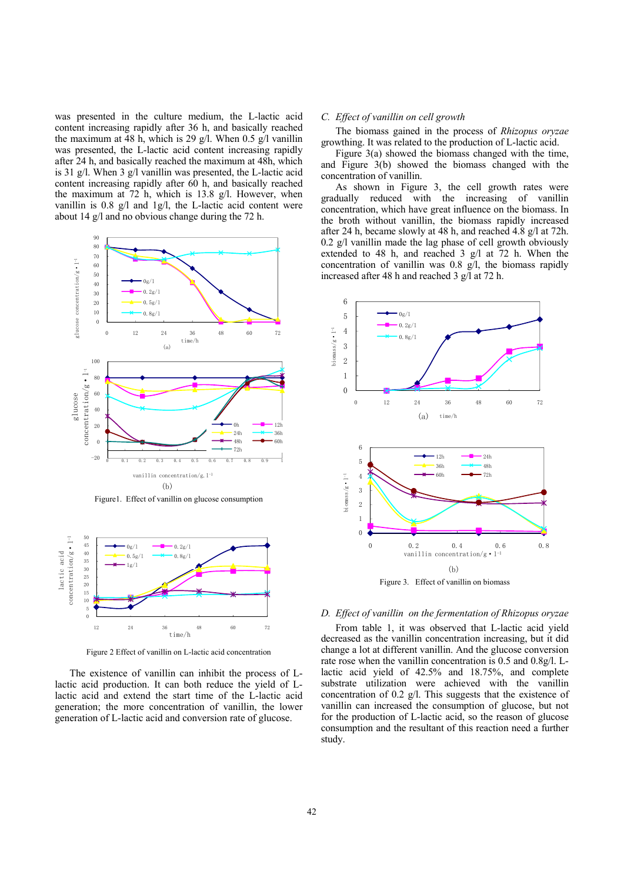was presented in the culture medium, the L-lactic acid content increasing rapidly after 36 h, and basically reached the maximum at 48 h, which is 29 g/l. When 0.5 g/l vanillin was presented, the L-lactic acid content increasing rapidly after 24 h, and basically reached the maximum at 48h, which is 31 g/l. When 3 g/l vanillin was presented, the L-lactic acid content increasing rapidly after 60 h, and basically reached the maximum at 72 h, which is 13.8 g/l. However, when vanillin is 0.8 g/l and 1g/l, the L-lactic acid content were about 14 g/l and no obvious change during the 72 h.



Figure1. Effect of vanillin on glucose consumption



Figure 2 Effect of vanillin on L-lactic acid concentration

The existence of vanillin can inhibit the process of Llactic acid production. It can both reduce the yield of Llactic acid and extend the start time of the L-lactic acid generation; the more concentration of vanillin, the lower generation of L-lactic acid and conversion rate of glucose.

#### *C. Effect of vanillin on cell growth*

The biomass gained in the process of *Rhizopus oryzae* growthing. It was related to the production of L-lactic acid.

Figure 3(a) showed the biomass changed with the time, and Figure 3(b) showed the biomass changed with the concentration of vanillin.

As shown in Figure 3, the cell growth rates were gradually reduced with the increasing of vanillin concentration, which have great influence on the biomass. In the broth without vanillin, the biomass rapidly increased after 24 h, became slowly at 48 h, and reached 4.8 g/l at 72h. 0.2 g/l vanillin made the lag phase of cell growth obviously extended to 48 h, and reached 3 g/l at 72 h. When the concentration of vanillin was 0.8 g/l, the biomass rapidly increased after 48 h and reached 3 g/l at 72 h.



## *D. Effect of vanillin on the fermentation of Rhizopus oryzae*

From table 1, it was observed that L-lactic acid yield decreased as the vanillin concentration increasing, but it did change a lot at different vanillin. And the glucose conversion rate rose when the vanillin concentration is 0.5 and 0.8g/l. Llactic acid yield of 42.5% and 18.75%, and complete substrate utilization were achieved with the vanillin concentration of 0.2 g/l. This suggests that the existence of vanillin can increased the consumption of glucose, but not for the production of L-lactic acid, so the reason of glucose consumption and the resultant of this reaction need a further study.